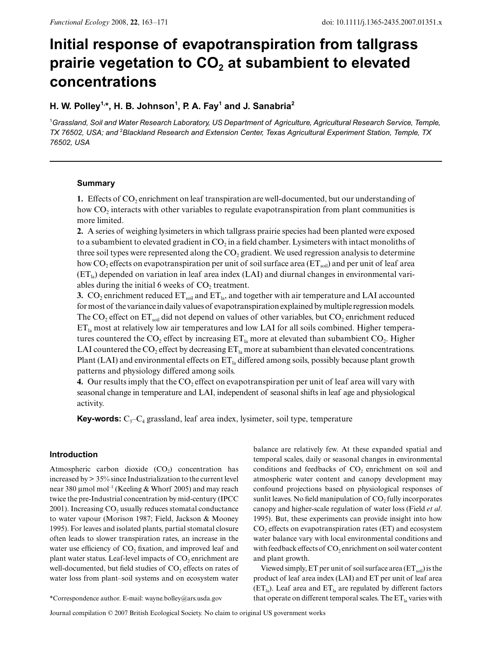# **Initial response of evapotranspiration from tallgrass** prairie vegetation to CO<sub>2</sub> at subambient to elevated **concentrations**

# **H. W. Polley1,\*, H. B. Johnson1 , P. A. Fay1 and J. Sanabria2**

<sup>1</sup>Grassland, Soil and Water Research Laboratory, US Department of Agriculture, Agricultural Research Service, Temple, *TX 76502, USA; and* <sup>2</sup> *Blackland Research and Extension Center, Texas Agricultural Experiment Station, Temple, TX 76502, USA*

# **Summary**

1. Effects of CO<sub>2</sub> enrichment on leaf transpiration are well-documented, but our understanding of how  $CO<sub>2</sub>$  interacts with other variables to regulate evapotranspiration from plant communities is more limited.

**2.** A series of weighing lysimeters in which tallgrass prairie species had been planted were exposed to a subambient to elevated gradient in  $CO<sub>2</sub>$  in a field chamber. Lysimeters with intact monoliths of three soil types were represented along the  $CO<sub>2</sub>$  gradient. We used regression analysis to determine how CO<sub>2</sub> effects on evapotranspiration per unit of soil surface area ( $ET_{\text{coil}}$ ) and per unit of leaf area  $(ET_{la})$  depended on variation in leaf area index (LAI) and diurnal changes in environmental variables during the initial  $6$  weeks of  $CO<sub>2</sub>$  treatment.

**3.**  $CO_2$  enrichment reduced  $ET_{soil}$  and  $ET_{la}$ , and together with air temperature and LAI accounted for most of the variance in daily values of evapotranspiration explained by multiple regression models. The  $CO_2$  effect on  $ET_{soil}$  did not depend on values of other variables, but  $CO_2$  enrichment reduced  $ET_{la}$  most at relatively low air temperatures and low LAI for all soils combined. Higher temperatures countered the CO<sub>2</sub> effect by increasing  $ET_{la}$  more at elevated than subambient CO<sub>2</sub>. Higher LAI countered the  $CO_2$  effect by decreasing  $ET_{la}$  more at subambient than elevated concentrations. Plant (LAI) and environmental effects on  $ET_{la}$  differed among soils, possibly because plant growth patterns and physiology differed among soils.

**4.** Our results imply that the  $CO<sub>2</sub>$  effect on evapotranspiration per unit of leaf area will vary with seasonal change in temperature and LAI, independent of seasonal shifts in leaf age and physiological activity.

**Key-words:**  $C_3 - C_4$  grassland, leaf area index, lysimeter, soil type, temperature

# **Introduction**

Atmospheric carbon dioxide  $(CO<sub>2</sub>)$  concentration has increased by > 35% since Industrialization to the current level near 380 µmol mol–1 (Keeling & Whorf 2005) and may reach twice the pre-Industrial concentration by mid-century (IPCC  $2001$ ). Increasing  $CO<sub>2</sub>$  usually reduces stomatal conductance to water vapour (Morison 1987; Field, Jackson & Mooney 1995). For leaves and isolated plants, partial stomatal closure often leads to slower transpiration rates, an increase in the water use efficiency of CO<sub>2</sub> fixation, and improved leaf and plant water status. Leaf-level impacts of CO<sub>2</sub> enrichment are well-documented, but field studies of  $CO<sub>2</sub>$  effects on rates of water loss from plant–soil systems and on ecosystem water

balance are relatively few. At these expanded spatial and temporal scales, daily or seasonal changes in environmental conditions and feedbacks of  $CO<sub>2</sub>$  enrichment on soil and atmospheric water content and canopy development may confound projections based on physiological responses of sunlit leaves. No field manipulation of  $CO<sub>2</sub>$  fully incorporates canopy and higher-scale regulation of water loss (Field *et al*. 1995). But, these experiments can provide insight into how CO<sub>2</sub> effects on evapotranspiration rates (ET) and ecosystem water balance vary with local environmental conditions and with feedback effects of CO<sub>2</sub> enrichment on soil water content and plant growth.

Viewed simply, ET per unit of soil surface area  $(ET_{sol})$  is the product of leaf area index (LAI) and ET per unit of leaf area  $(ET<sub>la</sub>)$ . Leaf area and  $ET<sub>la</sub>$  are regulated by different factors \*Correspondence author. E-mail: wayne.bolley@ars.usda.gov that operate on different temporal scales. The  $ET_{la}$  varies with

Journal compilation © 2007 British Ecological Society. No claim to original US government works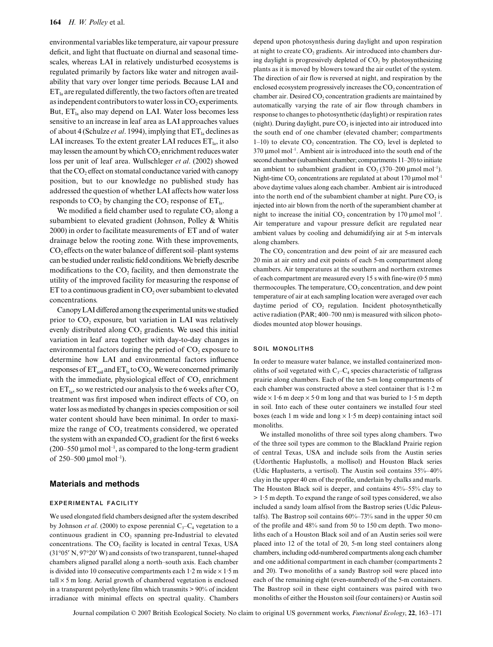environmental variables like temperature, air vapour pressure deficit, and light that fluctuate on diurnal and seasonal timescales, whereas LAI in relatively undisturbed ecosystems is regulated primarily by factors like water and nitrogen availability that vary over longer time periods. Because LAI and  $ET<sub>la</sub>$  are regulated differently, the two factors often are treated as independent contributors to water loss in  $CO<sub>2</sub>$  experiments. But,  $ET<sub>la</sub>$  also may depend on LAI. Water loss becomes less sensitive to an increase in leaf area as LAI approaches values of about 4 (Schulze *et al.* 1994), implying that  $ET<sub>la</sub>$  declines as LAI increases. To the extent greater LAI reduces  $ET_{la}$ , it also may lessen the amount by which  $CO<sub>2</sub>$  enrichment reduces water loss per unit of leaf area. Wullschleger *et al*. (2002) showed that the  $CO<sub>2</sub>$  effect on stomatal conductance varied with canopy position, but to our knowledge no published study has addressed the question of whether LAI affects how water loss responds to  $CO_2$  by changing the  $CO_2$  response of  $ET_{la}$ .

We modified a field chamber used to regulate  $CO<sub>2</sub>$  along a subambient to elevated gradient (Johnson, Polley & Whitis 2000) in order to facilitate measurements of ET and of water drainage below the rooting zone. With these improvements,  $CO<sub>2</sub>$  effects on the water balance of different soil–plant systems can be studied under realistic field conditions. We briefly describe modifications to the  $CO<sub>2</sub>$  facility, and then demonstrate the utility of the improved facility for measuring the response of  $ET$  to a continuous gradient in  $CO$ , over subambient to elevated concentrations.

Canopy LAI differed among the experimental units we studied prior to  $CO<sub>2</sub>$  exposure, but variation in LAI was relatively evenly distributed along CO<sub>2</sub> gradients. We used this initial variation in leaf area together with day-to-day changes in environmental factors during the period of  $CO<sub>2</sub>$  exposure to determine how LAI and environmental factors influence responses of  $ET_{\text{sol}}$  and  $ET_{\text{la}}$  to  $CO_2$ . We were concerned primarily with the immediate, physiological effect of  $CO<sub>2</sub>$  enrichment on  $ET<sub>la</sub>$ , so we restricted our analysis to the 6 weeks after CO<sub>2</sub> treatment was first imposed when indirect effects of  $CO<sub>2</sub>$  on water loss as mediated by changes in species composition or soil water content should have been minimal. In order to maximize the range of CO<sub>2</sub> treatments considered, we operated the system with an expanded  $CO<sub>2</sub>$  gradient for the first 6 weeks (200–550  $\mu$ mol mol<sup>-1</sup>, as compared to the long-term gradient of 250–500  $\mu$ mol mol<sup>-1</sup>).

#### **Materials and methods**

#### **EXPERIMENTAL FACILITY**

We used elongated field chambers designed after the system described by Johnson *et al.* (2000) to expose perennial  $C_3-C_4$  vegetation to a continuous gradient in CO<sub>2</sub> spanning pre-Industrial to elevated concentrations. The CO<sub>2</sub> facility is located in central Texas, USA (31°05′ N, 97°20′ W) and consists of two transparent, tunnel-shaped chambers aligned parallel along a north–south axis. Each chamber is divided into 10 consecutive compartments each  $1.2$  m wide  $\times 1.5$  m  $t$ all  $\times$  5 m long. Aerial growth of chambered vegetation is enclosed in a transparent polyethylene film which transmits > 90% of incident irradiance with minimal effects on spectral quality. Chambers

depend upon photosynthesis during daylight and upon respiration at night to create  $CO<sub>2</sub>$  gradients. Air introduced into chambers during daylight is progressively depleted of  $CO$ , by photosynthesizing plants as it is moved by blowers toward the air outlet of the system. The direction of air flow is reversed at night, and respiration by the enclosed ecosystem progressively increases the  $CO<sub>2</sub>$  concentration of chamber air. Desired  $CO<sub>2</sub>$  concentration gradients are maintained by automatically varying the rate of air flow through chambers in response to changes to photosynthetic (daylight) or respiration rates (night). During daylight, pure  $CO<sub>2</sub>$  is injected into air introduced into the south end of one chamber (elevated chamber; compartments 1–10) to elevate  $CO_2$  concentration. The  $CO_2$  level is depleted to  $370 \mu$ mol mol<sup>-1</sup>. Ambient air is introduced into the south end of the second chamber (subambient chamber; compartments 11–20) to initiate an ambient to subambient gradient in  $CO<sub>2</sub>$  (370–200 µmol mol<sup>-1</sup>). Night-time  $CO_2$  concentrations are regulated at about 170 µmol mol<sup>-1</sup> above daytime values along each chamber. Ambient air is introduced into the north end of the subambient chamber at night. Pure  $CO<sub>2</sub>$  is injected into air blown from the north of the superambient chamber at night to increase the initial  $CO_2$  concentration by 170 µmol mol<sup>-1</sup>. Air temperature and vapour pressure deficit are regulated near ambient values by cooling and dehumidifying air at 5-m intervals along chambers.

The  $CO<sub>2</sub>$  concentration and dew point of air are measured each 20 min at air entry and exit points of each 5-m compartment along chambers. Air temperatures at the southern and northern extremes of each compartment are measured every 15 s with fine-wire (0·5 mm) thermocouples. The temperature,  $CO<sub>2</sub>$  concentration, and dew point temperature of air at each sampling location were averaged over each daytime period of CO<sub>2</sub> regulation. Incident photosynthetically active radiation (PAR; 400–700 nm) is measured with silicon photodiodes mounted atop blower housings.

#### **SOIL MONOLITHS**

In order to measure water balance, we installed containerized monoliths of soil vegetated with  $C_3-C_4$  species characteristic of tallgrass prairie along chambers. Each of the ten 5-m long compartments of each chamber was constructed above a steel container that is 1·2 m wide  $\times$  1.6 m deep  $\times$  5.0 m long and that was buried to 1.5 m depth in soil. Into each of these outer containers we installed four steel boxes (each 1 m wide and  $\log \times 1.5$  m deep) containing intact soil monoliths.

We installed monoliths of three soil types along chambers. Two of the three soil types are common to the Blackland Prairie region of central Texas, USA and include soils from the Austin series (Udorthentic Haplustolls, a mollisol) and Houston Black series (Udic Haplusterts, a vertisol). The Austin soil contains 35%–40% clay in the upper 40 cm of the profile, underlain by chalks and marls. The Houston Black soil is deeper, and contains 45%–55% clay to > 1·5 m depth. To expand the range of soil types considered, we also included a sandy loam alfisol from the Bastrop series (Udic Paleustalfs). The Bastrop soil contains 60%–73% sand in the upper 50 cm of the profile and 48% sand from 50 to 150 cm depth. Two monoliths each of a Houston Black soil and of an Austin series soil were placed into 12 of the total of 20, 5-m long steel containers along chambers, including odd-numbered compartments along each chamber and one additional compartment in each chamber (compartments 2 and 20). Two monoliths of a sandy Bastrop soil were placed into each of the remaining eight (even-numbered) of the 5-m containers. The Bastrop soil in these eight containers was paired with two monoliths of either the Houston soil (four containers) or Austin soil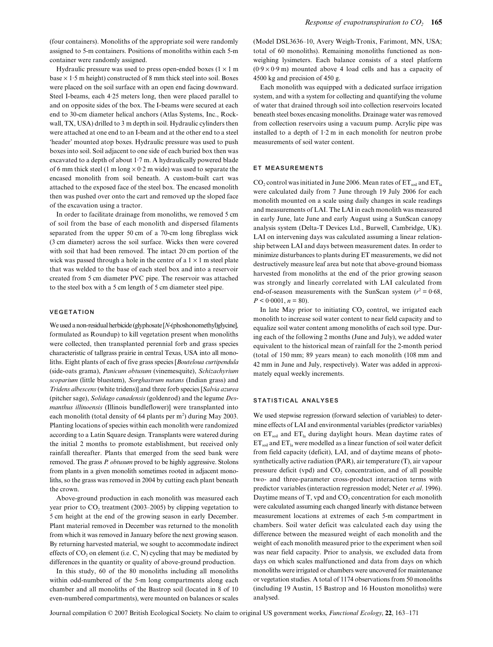(four containers). Monoliths of the appropriate soil were randomly assigned to 5-m containers. Positions of monoliths within each 5-m container were randomly assigned.

Hydraulic pressure was used to press open-ended boxes  $(1 \times 1$  m base  $\times$  1.5 m height) constructed of 8 mm thick steel into soil. Boxes were placed on the soil surface with an open end facing downward. Steel I-beams, each 4·25 meters long, then were placed parallel to and on opposite sides of the box. The I-beams were secured at each end to 30-cm diameter helical anchors (Atlas Systems, Inc., Rockwall, TX, USA) drilled to 3 m depth in soil. Hydraulic cylinders then were attached at one end to an I-beam and at the other end to a steel 'header' mounted atop boxes. Hydraulic pressure was used to push boxes into soil. Soil adjacent to one side of each buried box then was excavated to a depth of about 1·7 m. A hydraulically powered blade of 6 mm thick steel (1 m long  $\times$  0·2 m wide) was used to separate the encased monolith from soil beneath. A custom-built cart was attached to the exposed face of the steel box. The encased monolith then was pushed over onto the cart and removed up the sloped face of the excavation using a tractor.

In order to facilitate drainage from monoliths, we removed 5 cm of soil from the base of each monolith and dispersed filaments separated from the upper 50 cm of a 70-cm long fibreglass wick (3 cm diameter) across the soil surface. Wicks then were covered with soil that had been removed. The intact 20 cm portion of the wick was passed through a hole in the centre of a  $1 \times 1$  m steel plate that was welded to the base of each steel box and into a reservoir created from 5 cm diameter PVC pipe. The reservoir was attached to the steel box with a 5 cm length of 5 cm diameter steel pipe.

#### **VEGETATION**

We used a non-residual herbicide (glyphosate [*N*-(phoshonomethyl)glycine], formulated as Roundup) to kill vegetation present when monoliths were collected, then transplanted perennial forb and grass species characteristic of tallgrass prairie in central Texas, USA into all monoliths. Eight plants of each of five grass species [*Bouteloua curtipendula* (side-oats grama), *Panicum obtusum* (vinemesquite), *Schizachyrium scoparium* (little bluestem), *Sorghastrum nutans* (Indian grass) and *Tridens albescens* (white tridens)] and three forb species [*Salvia azurea* (pitcher sage), *Solidago canadensis* (goldenrod) and the legume *Desmanthus illinoensis* (Illinois bundleflower)] were transplanted into each monolith (total density of  $64$  plants per m<sup>2</sup>) during May 2003. Planting locations of species within each monolith were randomized according to a Latin Square design. Transplants were watered during the initial 2 months to promote establishment, but received only rainfall thereafter. Plants that emerged from the seed bank were removed. The grass *P. obtusum* proved to be highly aggressive. Stolons from plants in a given monolith sometimes rooted in adjacent monoliths, so the grass was removed in 2004 by cutting each plant beneath the crown.

Above-ground production in each monolith was measured each year prior to  $CO<sub>2</sub>$  treatment (2003–2005) by clipping vegetation to 5 cm height at the end of the growing season in early December. Plant material removed in December was returned to the monolith from which it was removed in January before the next growing season. By returning harvested material, we sought to accommodate indirect effects of  $CO<sub>2</sub>$  on element (i.e. C, N) cycling that may be mediated by differences in the quantity or quality of above-ground production.

In this study, 60 of the 80 monoliths including all monoliths within odd-numbered of the 5-m long compartments along each chamber and all monoliths of the Bastrop soil (located in 8 of 10 even-numbered compartments), were mounted on balances or scales

(Model DSL3636–10, Avery Weigh-Tronix, Farimont, MN, USA; total of 60 monoliths). Remaining monoliths functioned as nonweighing lysimeters. Each balance consists of a steel platform  $(0.9 \times 0.9 \text{ m})$  mounted above 4 load cells and has a capacity of 4500 kg and precision of 450 g.

Each monolith was equipped with a dedicated surface irrigation system, and with a system for collecting and quantifying the volume of water that drained through soil into collection reservoirs located beneath steel boxes encasing monoliths. Drainage water was removed from collection reservoirs using a vacuum pump. Acrylic pipe was installed to a depth of 1·2 m in each monolith for neutron probe measurements of soil water content.

## **ET MEASUREMENTS**

CO<sub>2</sub> control was initiated in June 2006. Mean rates of  $ET_{\text{coll}}$  and  $ET_{\text{la}}$ were calculated daily from 7 June through 19 July 2006 for each monolith mounted on a scale using daily changes in scale readings and measurements of LAI. The LAI in each monolith was measured in early June, late June and early August using a SunScan canopy analysis system (Delta-T Devices Ltd., Burwell, Cambridge, UK). LAI on intervening days was calculated assuming a linear relationship between LAI and days between measurement dates. In order to minimize disturbances to plants during ET measurements, we did not destructively measure leaf area but note that above-ground biomass harvested from monoliths at the end of the prior growing season was strongly and linearly correlated with LAI calculated from end-of-season measurements with the SunScan system  $(r^2 = 0.68)$ ,  $P < 0.0001, n = 80$ .

In late May prior to initiating  $CO<sub>2</sub>$  control, we irrigated each monolith to increase soil water content to near field capacity and to equalize soil water content among monoliths of each soil type. During each of the following 2 months (June and July), we added water equivalent to the historical mean of rainfall for the 2-month period (total of 150 mm; 89 years mean) to each monolith (108 mm and 42 mm in June and July, respectively). Water was added in approximately equal weekly increments.

#### **STATISTICAL ANALYSES**

We used stepwise regression (forward selection of variables) to determine effects of LAI and environmental variables (predictor variables) on  $ET_{soil}$  and  $ET_{la}$  during daylight hours. Mean daytime rates of  $ET_{\text{sol}}$  and  $ET_{\text{la}}$  were modelled as a linear function of soil water deficit from field capacity (deficit), LAI, and of daytime means of photosynthetically active radiation (PAR), air temperature (T), air vapour pressure deficit (vpd) and  $CO<sub>2</sub>$  concentration, and of all possible two- and three-parameter cross-product interaction terms with predictor variables (interaction regression model; Neter *et al*. 1996). Daytime means of T, vpd and  $CO<sub>2</sub>$  concentration for each monolith were calculated assuming each changed linearly with distance between measurement locations at extremes of each 5-m compartment in chambers. Soil water deficit was calculated each day using the difference between the measured weight of each monolith and the weight of each monolith measured prior to the experiment when soil was near field capacity. Prior to analysis, we excluded data from days on which scales malfunctioned and data from days on which monoliths were irrigated or chambers were uncovered for maintenance or vegetation studies. A total of 1174 observations from 50 monoliths (including 19 Austin, 15 Bastrop and 16 Houston monoliths) were analysed.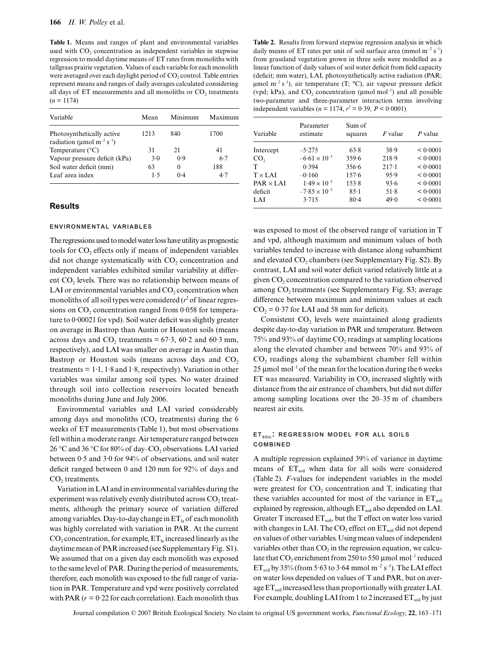**Table 1.** Means and ranges of plant and environmental variables used with  $CO<sub>2</sub>$  concentration as independent variables in stepwise regression to model daytime means of ET rates from monoliths with tallgrass prairie vegetation. Values of each variable for each monolith were averaged over each daylight period of CO<sub>2</sub> control. Table entries represent means and ranges of daily averages calculated considering all days of ET measurements and all monoliths or  $CO<sub>2</sub>$  treatments  $(n = 1174)$ 

| Variable                                                                       | Mean | Minimum  | Maximum |
|--------------------------------------------------------------------------------|------|----------|---------|
| Photosynthetically active<br>radiation (µmol m <sup>-2</sup> s <sup>-1</sup> ) | 1213 | 840      | 1700    |
| Temperature $(^{\circ}C)$                                                      | 31   | 21       | 41      |
| Vapour pressure deficit (kPa)                                                  | 3.0  | 0.9      | 6.7     |
| Soil water deficit (mm)                                                        | 63   | $\theta$ | 188     |
| Leaf area index                                                                | 1.5  | 0.4      | 4.7     |

# **Results**

#### **ENVIRONMENTAL VARIABLES**

The regressions used to model water loss have utility as prognostic tools for  $CO<sub>2</sub>$  effects only if means of independent variables  $\alpha$  did not change systematically with  $CO<sub>2</sub>$  concentration and independent variables exhibited similar variability at different  $CO<sub>2</sub>$  levels. There was no relationship between means of LAI or environmental variables and  $CO<sub>2</sub>$  concentration when monoliths of all soil types were considered (*r* <sup>2</sup> of linear regressions on  $CO$ , concentration ranged from  $0.058$  for temperature to 0·00021 for vpd). Soil water deficit was slightly greater on average in Bastrop than Austin or Houston soils (means across days and  $CO_2$  treatments = 67.3, 60.2 and 60.3 mm, respectively), and LAI was smaller on average in Austin than Bastrop or Houston soils (means across days and  $CO<sub>2</sub>$ treatments =  $1.1$ ,  $1.8$  and  $1.8$ , respectively). Variation in other variables was similar among soil types. No water drained through soil into collection reservoirs located beneath monoliths during June and July 2006.

Environmental variables and LAI varied considerably among days and monoliths  $(CO<sub>2</sub>$  treatments) during the  $6$ weeks of ET measurements (Table 1), but most observations fell within a moderate range. Air temperature ranged between 26 °C and 36 °C for 80% of day–CO<sub>2</sub> observations. LAI varied between 0·5 and 3·0 for 94% of observations, and soil water deficit ranged between 0 and 120 mm for 92% of days and CO<sub>2</sub> treatments.

Variation in LAI and in environmental variables during the experiment was relatively evenly distributed across  $CO<sub>2</sub>$  treatments, although the primary source of variation differed among variables. Day-to-day change in  $ET_{1a}$  of each monolith was highly correlated with variation in PAR. At the current  $CO<sub>2</sub>$  concentration, for example,  $ET_{1a}$  increased linearly as the daytime mean of PAR increased (see Supplementary Fig. S1). We assumed that on a given day each monolith was exposed to the same level of PAR. During the period of measurements, therefore, each monolith was exposed to the full range of variation in PAR. Temperature and vpd were positively correlated with PAR  $(r = 0.22$  for each correlation). Each monolith thus

**Table 2.** Results from forward stepwise regression analysis in which daily means of ET rates per unit of soil surface area (mmol  $m^{-2} s^{-1}$ ) from grassland vegetation grown in three soils were modelled as a linear function of daily values of soil water deficit from field capacity (deficit; mm water), LAI, photosynthetically active radiation (PAR;  $\mu$ mol m<sup>-2</sup> s<sup>-1</sup>), air temperature (T; °C), air vapour pressure deficit (vpd; kPa), and  $CO_2$  concentration ( $\mu$ mol mol<sup>-1</sup>) and all possible two-parameter and three-parameter interaction terms involving independent variables ( $n = 1174$ ,  $r^2 = 0.39$ ,  $P < 0.0001$ )

| Variable         | Parameter<br>estimate  | Sum of<br>squares | <i>F</i> value | P value  |
|------------------|------------------------|-------------------|----------------|----------|
| Intercept        | $-5.275$               | 63.8              | 38.9           | < 0.0001 |
| CO <sub>2</sub>  | $-6.61 \times 10^{-3}$ | 359.6             | 218.9          | < 0.0001 |
| T                | 0.394                  | 356.6             | $217-1$        | < 0.0001 |
| $T \times LAI$   | $-0.160$               | $157 - 6$         | 95.9           | < 0.0001 |
| $PAR \times LAI$ | $1.49 \times 10^{-3}$  | 153.8             | 93.6           | < 0.0001 |
| deficit          | $-7.85 \times 10^{-3}$ | $85 - 1$          | 51.8           | < 0.0001 |
| LAI              | 3.715                  | $80 - 4$          | 49.0           | < 0.0001 |

was exposed to most of the observed range of variation in T and vpd, although maximum and minimum values of both variables tended to increase with distance along subambient and elevated  $CO<sub>2</sub>$  chambers (see Supplementary Fig. S2). By contrast, LAI and soil water deficit varied relatively little at a given  $CO<sub>2</sub>$  concentration compared to the variation observed among  $CO<sub>2</sub>$  treatments (see Supplementary Fig. S3; average difference between maximum and minimum values at each  $CO<sub>2</sub> = 0.37$  for LAI and 58 mm for deficit).

Consistent  $CO<sub>2</sub>$  levels were maintained along gradients despite day-to-day variation in PAR and temperature. Between  $75\%$  and 93% of daytime CO<sub>2</sub> readings at sampling locations along the elevated chamber and between 70% and 93% of  $CO<sub>2</sub>$  readings along the subambient chamber fell within 25  $\mu$ mol mol<sup>-1</sup> of the mean for the location during the 6 weeks ET was measured. Variability in  $CO<sub>2</sub>$  increased slightly with distance from the air entrance of chambers, but did not differ among sampling locations over the 20–35 m of chambers nearest air exits.

# **ET SOIL: REGRESSION MODEL FOR ALL SOILS COMBINED**

A multiple regression explained 39% of variance in daytime means of ET<sub>soil</sub> when data for all soils were considered (Table 2). *F*-values for independent variables in the model were greatest for  $CO<sub>2</sub>$  concentration and T, indicating that these variables accounted for most of the variance in  $ET_{\text{soil}}$ explained by regression, although  $ET_{sol}$  also depended on LAI. Greater T increased  $ET_{soil}$ , but the T effect on water loss varied with changes in LAI. The  $CO<sub>2</sub>$  effect on  $ET<sub>soil</sub>$  did not depend on values of other variables. Using mean values of independent variables other than  $CO<sub>2</sub>$  in the regression equation, we calculate that CO<sub>2</sub> enrichment from 250 to 550  $\mu$ mol mol<sup>-1</sup> reduced  $ET_{\text{soil}}$  by 35% (from 5.63 to 3.64 mmol m<sup>-2</sup> s<sup>-1</sup>). The LAI effect on water loss depended on values of T and PAR, but on average  $ET_{sol}$  increased less than proportionally with greater LAI. For example, doubling LAI from 1 to 2 increased  $ET_{\text{coil}}$  by just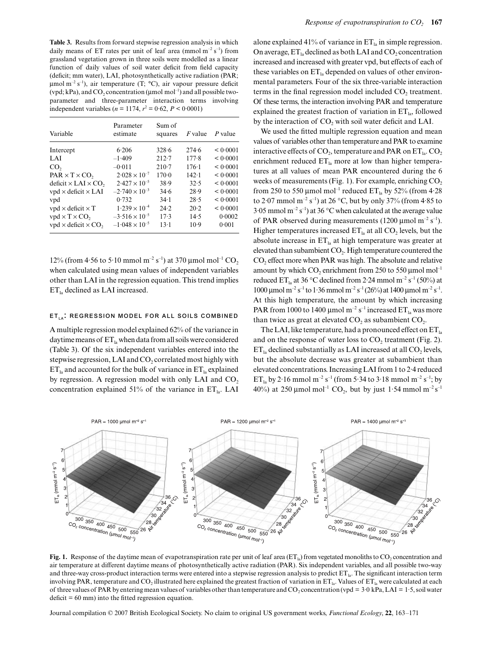**Table 3.** Results from forward stepwise regression analysis in which daily means of ET rates per unit of leaf area (mmol  $m^{-2} s^{-1}$ ) from grassland vegetation grown in three soils were modelled as a linear function of daily values of soil water deficit from field capacity (deficit; mm water), LAI, photosynthetically active radiation (PAR;  $\mu$ mol m<sup>-2</sup> s<sup>-1</sup>), air temperature (T; °C), air vapour pressure deficit (vpd; kPa), and  $CO_2$  concentration (µmol mol<sup>-1</sup>) and all possible twoparameter and three-parameter interaction terms involving independent variables ( $n = 1174$ ,  $r^2 = 0.62$ ,  $P < 0.0001$ )

| Variable                                      | Parameter<br>estimate   | Sum of<br>squares | <i>F</i> value | P value  |
|-----------------------------------------------|-------------------------|-------------------|----------------|----------|
| Intercept                                     | 6.206                   | 328.6             | 274.6          | < 0.0001 |
| LAI                                           | $-1.409$                | $212 - 7$         | 177.8          | < 0.0001 |
| CO <sub>2</sub>                               | $-0.011$                | $210-7$           | $176-1$        | < 0.0001 |
| $PAR \times T \times CO$                      | $2.028 \times 10^{-7}$  | $170 - 0$         | $142 - 1$      | < 0.0001 |
| deficit $\times$ LAI $\times$ CO <sub>2</sub> | $2.427 \times 10^{-5}$  | 38.9              | 32.5           | < 0.0001 |
| $vpd \times$ deficit $\times$ LAI             | $-2.740 \times 10^{-3}$ | 34.6              | 28.9           | < 0.0001 |
| vpd                                           | 0.732                   | $34-1$            | 28.5           | < 0.0001 |
| $vpd \times$ deficit $\times T$               | $1.239 \times 10^{-4}$  | 24.2              | 20.2           | < 0.0001 |
| $vpd \times T \times CO$ ,                    | $-3.516 \times 10^{-5}$ | 17.3              | 14.5           | 0.0002   |
| $vpd \times$ deficit $\times$ CO <sub>2</sub> | $-1.048 \times 10^{-5}$ | $13-1$            | $10-9$         | 0.001    |

12% (from 4.56 to 5.10 mmol m<sup>-2</sup> s<sup>-1</sup>) at 370 µmol mol<sup>-1</sup> CO<sub>2</sub> when calculated using mean values of independent variables other than LAI in the regression equation. This trend implies  $ET<sub>la</sub>$  declined as LAI increased.

# **ETLA: REGRESSION MODEL FOR ALL SOILS COMBINED**

A multiple regression model explained 62% of the variance in daytime means of  $ET_{la}$  when data from all soils were considered (Table 3). Of the six independent variables entered into the stepwise regression, LAI and  $CO<sub>2</sub>$  correlated most highly with  $ET_{la}$  and accounted for the bulk of variance in  $ET_{la}$  explained by regression. A regression model with only LAI and  $CO<sub>2</sub>$ concentration explained 51% of the variance in  $ET<sub>la</sub>$ . LAI

alone explained 41% of variance in  $ET_{la}$  in simple regression. On average,  $ET_{la}$  declined as both LAI and  $CO_2$  concentration increased and increased with greater vpd, but effects of each of these variables on  $ET_{la}$  depended on values of other environmental parameters. Four of the six three-variable interaction terms in the final regression model included  $CO<sub>2</sub>$  treatment. Of these terms, the interaction involving PAR and temperature explained the greatest fraction of variation in  $ET<sub>la</sub>$ , followed by the interaction of  $CO<sub>2</sub>$  with soil water deficit and LAI.

We used the fitted multiple regression equation and mean values of variables other than temperature and PAR to examine interactive effects of  $CO_2$ , temperature and PAR on  $ET_{la}$ .  $CO_2$ enrichment reduced  $ET<sub>la</sub>$  more at low than higher temperatures at all values of mean PAR encountered during the 6 weeks of measurements (Fig. 1). For example, enriching  $CO<sub>2</sub>$ from 250 to 550 µmol mol<sup>-1</sup> reduced  $ET_{1a}$  by 52% (from 4.28) to 2.07 mmol  $m^{-2}$  s<sup>-1</sup>) at 26 °C, but by only 37% (from 4.85 to  $3.05$  mmol m<sup>-2</sup> s<sup>-1</sup>) at 36 °C when calculated at the average value of PAR observed during measurements (1200 µmol  $m^{-2} s^{-1}$ ). Higher temperatures increased  $ET_{1a}$  at all CO<sub>2</sub> levels, but the absolute increase in  $ET_{la}$  at high temperature was greater at elevated than subambient CO<sub>2</sub>. High temperature countered the CO<sub>2</sub> effect more when PAR was high. The absolute and relative amount by which  $CO_2$  enrichment from 250 to 550 µmol mol<sup>-1</sup> reduced ET<sub>la</sub> at 36 °C declined from 2.24 mmol m<sup>-2</sup> s<sup>-1</sup> (50%) at 1000 µmol m<sup>-2</sup> s<sup>-1</sup> to 1·36 mmol m<sup>-2</sup> s<sup>-1</sup> (26%) at 1400 µmol m<sup>-2</sup> s<sup>-1</sup>. At this high temperature, the amount by which increasing PAR from 1000 to 1400 µmol m<sup>-2</sup> s<sup>-1</sup> increased  $ET<sub>la</sub>$  was more than twice as great at elevated  $CO_2$  as subambient  $CO_2$ .

The LAI, like temperature, had a pronounced effect on  $ET_{1a}$ and on the response of water loss to  $CO<sub>2</sub>$  treatment (Fig. 2).  $ET<sub>la</sub>$  declined substantially as LAI increased at all  $CO<sub>2</sub>$  levels, but the absolute decrease was greater at subambient than elevated concentrations. Increasing LAI from 1 to 2·4 reduced ET<sub>la</sub> by 2·16 mmol m<sup>-2</sup> s<sup>-1</sup> (from 5·34 to 3·18 mmol m<sup>-2</sup> s<sup>-1</sup>; by 40%) at 250 µmol mol<sup>-1</sup> CO<sub>2</sub>, but by just 1·54 mmol m<sup>-2</sup> s<sup>-1</sup>



**Fig. 1.** Response of the daytime mean of evapotranspiration rate per unit of leaf area  $(ET_a)$  from vegetated monoliths to CO<sub>2</sub> concentration and air temperature at different daytime means of photosynthetically active radiation (PAR). Six independent variables, and all possible two-way and three-way cross-product interaction terms were entered into a stepwise regression analysis to predict ET<sub>la</sub>. The significant interaction term involving PAR, temperature and CO<sub>2</sub> illustrated here explained the greatest fraction of variation in ET<sub>la</sub>. Values of ET<sub>la</sub> were calculated at each of three values of PAR by entering mean values of variables other than temperature and  $CO_2$  concentration (vpd = 3·0 kPa, LAI = 1·5, soil water  $deficit = 60 mm)$  into the fitted regression equation.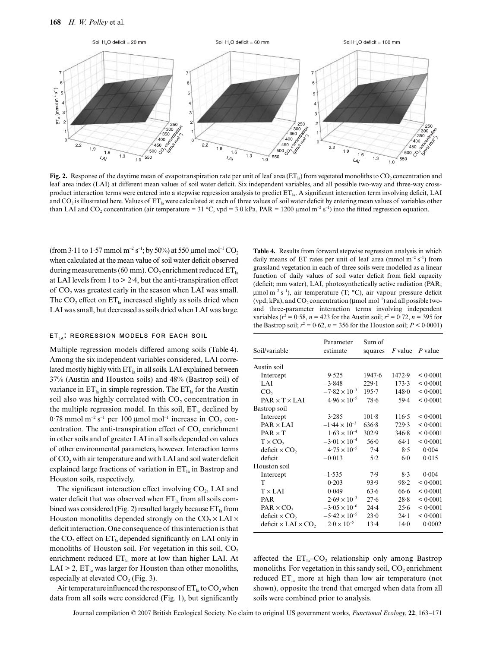

**Fig. 2.** Response of the daytime mean of evapotranspiration rate per unit of leaf area  $(ET_{la})$  from vegetated monoliths to  $CO_2$  concentration and leaf area index (LAI) at different mean values of soil water deficit. Six independent variables, and all possible two-way and three-way crossproduct interaction terms were entered into a stepwise regression analysis to predict ET<sub>la</sub>. A significant interaction term involving deficit, LAI and  $CO_2$  is illustrated here. Values of  $ET<sub>la</sub>$  were calculated at each of three values of soil water deficit by entering mean values of variables other than LAI and CO<sub>2</sub> concentration (air temperature = 31 °C, vpd = 3·0 kPa, PAR = 1200 µmol m<sup>-2</sup> s<sup>-1</sup>) into the fitted regression equation.

(from 3·11 to 1·57 mmol m<sup>-2</sup> s<sup>-1</sup>; by 50%) at 550 µmol mol<sup>-1</sup> CO<sub>2</sub> when calculated at the mean value of soil water deficit observed during measurements (60 mm).  $CO_2$  enrichment reduced  $ET_{la}$ at LAI levels from 1 to  $> 2.4$ , but the anti-transpiration effect of CO<sub>2</sub> was greatest early in the season when LAI was small. The  $CO$ <sub>2</sub> effect on  $ET_{1a}$  increased slightly as soils dried when LAI was small, but decreased as soils dried when LAI was large.

#### **ETLA: REGRESSION MODELS FOR EACH SOIL**

Multiple regression models differed among soils (Table 4). Among the six independent variables considered, LAI correlated mostly highly with  $ET_{la}$  in all soils. LAI explained between 37% (Austin and Houston soils) and 48% (Bastrop soil) of variance in  $ET_{1a}$  in simple regression. The  $ET_{1a}$  for the Austin soil also was highly correlated with  $CO<sub>2</sub>$  concentration in the multiple regression model. In this soil,  $ET<sub>la</sub>$  declined by 0.78 mmol  $m^{-2}$  s<sup>-1</sup> per 100 µmol mol<sup>-1</sup> increase in CO<sub>2</sub> concentration. The anti-transpiration effect of  $CO<sub>2</sub>$  enrichment in other soils and of greater LAI in all soils depended on values of other environmental parameters, however. Interaction terms of CO2 with air temperature and with LAI and soil water deficit explained large fractions of variation in  $ET<sub>la</sub>$  in Bastrop and Houston soils, respectively.

The significant interaction effect involving  $CO<sub>2</sub>$ , LAI and water deficit that was observed when  $ET_{la}$  from all soils combined was considered (Fig. 2) resulted largely because  $ET<sub>1</sub>$  from Houston monoliths depended strongly on the  $CO_2 \times LAI \times$ deficit interaction. One consequence of this interaction is that the CO<sub>2</sub> effect on  $ET_{1a}$  depended significantly on LAI only in monoliths of Houston soil. For vegetation in this soil,  $CO<sub>2</sub>$ enrichment reduced  $ET_{la}$  more at low than higher LAI. At LAI > 2,  $ET_{la}$  was larger for Houston than other monoliths, especially at elevated  $CO<sub>2</sub>$  (Fig. 3).

Air temperature influenced the response of  $ET_{1a}$  to  $CO_2$  when data from all soils were considered (Fig. 1), but significantly

**Table 4.** Results from forward stepwise regression analysis in which daily means of ET rates per unit of leaf area (mmol  $m^{-2} s^{-1}$ ) from grassland vegetation in each of three soils were modelled as a linear function of daily values of soil water deficit from field capacity (deficit; mm water), LAI, photosynthetically active radiation (PAR;  $\mu$ mol m<sup>-2</sup> s<sup>-1</sup>), air temperature (T; °C), air vapour pressure deficit (vpd; kPa), and  $CO_2$  concentration ( $\mu$ mol mol<sup>-1</sup>) and all possible twoand three-parameter interaction terms involving independent variables ( $r^2 = 0.58$ ,  $n = 423$  for the Austin soil;  $r^2 = 0.72$ ,  $n = 395$  for the Bastrop soil;  $r^2 = 0.62$ ,  $n = 356$  for the Houston soil;  $P \le 0.0001$ )

| Soil/variable                                 | Parameter<br>estimate  | Sum of<br>squares |          | $F$ value $P$ value |
|-----------------------------------------------|------------------------|-------------------|----------|---------------------|
| Austin soil                                   |                        |                   |          |                     |
| Intercept                                     | 9.525                  | 1947.6            | 1472.9   | < 0.0001            |
| LAI                                           | $-3.848$               | 229.1             | 173.3    | < 0.0001            |
| CO <sub>2</sub>                               | $-7.82 \times 10^{-3}$ | 195.7             | 148.0    | < 0.0001            |
| $PAR \times T \times LAI$                     | $4.96 \times 10^{-5}$  | 78.6              | 59.4     | < 0.0001            |
| Bastrop soil                                  |                        |                   |          |                     |
| Intercept                                     | 3.285                  | $101 - 8$         | 116.5    | < 0.0001            |
| $PAR \times LAI$                              | $-1.44 \times 10^{-3}$ | 636.8             | 729.3    | < 0.0001            |
| $PAR \times T$                                | $1.63 \times 10^{-4}$  | 302.9             | 346.8    | < 0.0001            |
| $T \times CO$                                 | $-3.01 \times 10^{-4}$ | 56.0              | 64.1     | < 0.0001            |
| $deficit \times CO$ ,                         | $4.75 \times 10^{-5}$  | 7.4               | 8.5      | 0.004               |
| deficit                                       | $-0.013$               | 5.2               | $6-0$    | 0.015               |
| Houston soil                                  |                        |                   |          |                     |
| Intercept                                     | $-1.535$               | 7.9               | 8.3      | 0.004               |
| T                                             | 0.203                  | 93.9              | 98.2     | < 0.0001            |
| $T \times LAI$                                | $-0.049$               | 63.6              | 66.6     | < 0.0001            |
| <b>PAR</b>                                    | $2.69 \times 10^{-3}$  | 27.6              | 28.8     | < 0.0001            |
| $PAR \times CO$ ,                             | $-3.05 \times 10^{-6}$ | 24.4              | 25.6     | < 0.0001            |
| $deficit \times CO$ ,                         | $-5.42 \times 10^{-5}$ | 23.0              | $24-1$   | < 0.0001            |
| deficit $\times$ LAI $\times$ CO <sub>2</sub> | $2.0 \times 10^{-5}$   | 13.4              | $14 - 0$ | 0.0002              |

affected the  $ET_{1a}$ –CO<sub>2</sub> relationship only among Bastrop monoliths. For vegetation in this sandy soil,  $CO<sub>2</sub>$  enrichment reduced  $ET_{1a}$  more at high than low air temperature (not shown), opposite the trend that emerged when data from all soils were combined prior to analysis.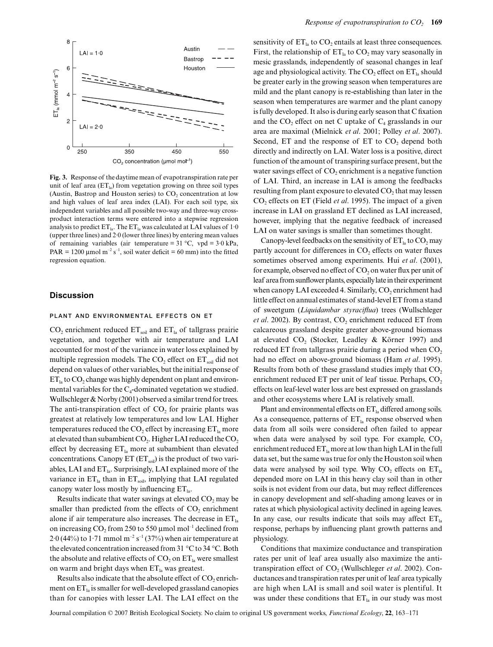

**Fig. 3.** Response of the daytime mean of evapotranspiration rate per unit of leaf area  $(ET_{1a})$  from vegetation growing on three soil types (Austin, Bastrop and Houston series) to  $CO<sub>2</sub>$  concentration at low and high values of leaf area index (LAI). For each soil type, six independent variables and all possible two-way and three-way crossproduct interaction terms were entered into a stepwise regression analysis to predict  $ET_{la}$ . The  $ET_{la}$  was calculated at LAI values of 1.0 (upper three lines) and 2·0 (lower three lines) by entering mean values of remaining variables (air temperature =  $31 \degree C$ , vpd =  $3.0 \degree R$ , PAR = 1200 µmol m<sup>-2</sup> s<sup>-1</sup>, soil water deficit = 60 mm) into the fitted regression equation.

## **Discussion**

#### **PLANT AND ENVIRONMENTAL EFFECTS ON ET**

CO<sub>2</sub> enrichment reduced  $ET_{\text{sol}}$  and  $ET_{\text{la}}$  of tallgrass prairie vegetation, and together with air temperature and LAI accounted for most of the variance in water loss explained by multiple regression models. The  $CO<sub>2</sub>$  effect on  $ET<sub>soil</sub>$  did not depend on values of other variables, but the initial response of  $ET<sub>la</sub>$  to  $CO<sub>2</sub>$  change was highly dependent on plant and environmental variables for the  $C_4$ -dominated vegetation we studied. Wullschleger & Norby (2001) observed a similar trend for trees. The anti-transpiration effect of  $CO$ , for prairie plants was greatest at relatively low temperatures and low LAI. Higher temperatures reduced the CO<sub>2</sub> effect by increasing  $ET_{1a}$  more at elevated than subambient  $CO<sub>2</sub>$ . Higher LAI reduced the  $CO<sub>2</sub>$ effect by decreasing  $ET_{la}$  more at subambient than elevated concentrations. Canopy  $ET$  ( $ET_{\text{soil}}$ ) is the product of two variables, LAI and  $ET<sub>la</sub>$ . Surprisingly, LAI explained more of the variance in  $ET_{la}$  than in  $ET_{soil}$ , implying that LAI regulated canopy water loss mostly by influencing  $ET<sub>la</sub>$ .

Results indicate that water savings at elevated  $CO<sub>2</sub>$  may be smaller than predicted from the effects of  $CO<sub>2</sub>$  enrichment alone if air temperature also increases. The decrease in  $ET<sub>la</sub>$ on increasing  $CO_2$  from 250 to 550 µmol mol<sup>-1</sup> declined from  $2.0$  (44%) to 1.71 mmol m<sup>-2</sup> s<sup>-1</sup> (37%) when air temperature at the elevated concentration increased from 31 °C to 34 °C. Both the absolute and relative effects of  $CO<sub>2</sub>$  on  $ET<sub>la</sub>$  were smallest on warm and bright days when  $ET<sub>la</sub>$  was greatest.

Results also indicate that the absolute effect of  $CO$ , enrichment on  $ET_{la}$  is smaller for well-developed grassland canopies than for canopies with lesser LAI. The LAI effect on the

sensitivity of  $ET_{la}$  to  $CO_2$  entails at least three consequences. First, the relationship of  $ET<sub>la</sub>$  to  $CO<sub>2</sub>$  may vary seasonally in mesic grasslands, independently of seasonal changes in leaf age and physiological activity. The  $CO<sub>2</sub>$  effect on  $ET<sub>la</sub>$  should be greater early in the growing season when temperatures are mild and the plant canopy is re-establishing than later in the season when temperatures are warmer and the plant canopy is fully developed. It also is during early season that C fixation and the  $CO<sub>2</sub>$  effect on net C uptake of  $C<sub>4</sub>$  grasslands in our area are maximal (Mielnick *et al*. 2001; Polley *et al*. 2007). Second,  $ET$  and the response of  $ET$  to  $CO<sub>2</sub>$  depend both directly and indirectly on LAI. Water loss is a positive, direct function of the amount of transpiring surface present, but the water savings effect of  $CO<sub>2</sub>$  enrichment is a negative function of LAI. Third, an increase in LAI is among the feedbacks resulting from plant exposure to elevated  $CO<sub>2</sub>$  that may lessen CO<sub>2</sub> effects on ET (Field *et al.* 1995). The impact of a given increase in LAI on grassland ET declined as LAI increased, however, implying that the negative feedback of increased LAI on water savings is smaller than sometimes thought.

Canopy-level feedbacks on the sensitivity of  $ET<sub>la</sub>$  to  $CO<sub>2</sub>$  may partly account for differences in  $CO<sub>2</sub>$  effects on water fluxes sometimes observed among experiments. Hui *et al*. (2001), for example, observed no effect of  $CO<sub>2</sub>$  on water flux per unit of leaf area from sunflower plants, especially late in their experiment when canopy LAI exceeded 4. Similarly,  $CO<sub>2</sub>$  enrichment had little effect on annual estimates of stand-level ET from a stand of sweetgum (*Liquidambar styraciflua*) trees (Wullschleger *et al.* 2002). By contrast, CO<sub>2</sub> enrichment reduced ET from calcareous grassland despite greater above-ground biomass at elevated  $CO<sub>2</sub>$  (Stocker, Leadley & Körner 1997) and reduced ET from tallgrass prairie during a period when  $CO<sub>2</sub>$ had no effect on above-ground biomass (Ham *et al*. 1995). Results from both of these grassland studies imply that  $CO<sub>2</sub>$ enrichment reduced ET per unit of leaf tissue. Perhaps, CO<sub>2</sub> effects on leaf-level water loss are best expressed on grasslands and other ecosystems where LAI is relatively small.

Plant and environmental effects on  $ET_{1a}$  differed among soils. As a consequence, patterns of  $ET_{la}$  response observed when data from all soils were considered often failed to appear when data were analysed by soil type. For example,  $CO<sub>2</sub>$ enrichment reduced  $ET_{la}$  more at low than high LAI in the full data set, but the same was true for only the Houston soil when data were analysed by soil type. Why  $CO_2$  effects on  $ET_{1a}$ depended more on LAI in this heavy clay soil than in other soils is not evident from our data, but may reflect differences in canopy development and self-shading among leaves or in rates at which physiological activity declined in ageing leaves. In any case, our results indicate that soils may affect  $ET_{1a}$ response, perhaps by influencing plant growth patterns and physiology.

Conditions that maximize conductance and transpiration rates per unit of leaf area usually also maximize the antitranspiration effect of CO<sub>2</sub> (Wullschleger *et al.* 2002). Conductances and transpiration rates per unit of leaf area typically are high when LAI is small and soil water is plentiful. It was under these conditions that  $ET_{1a}$  in our study was most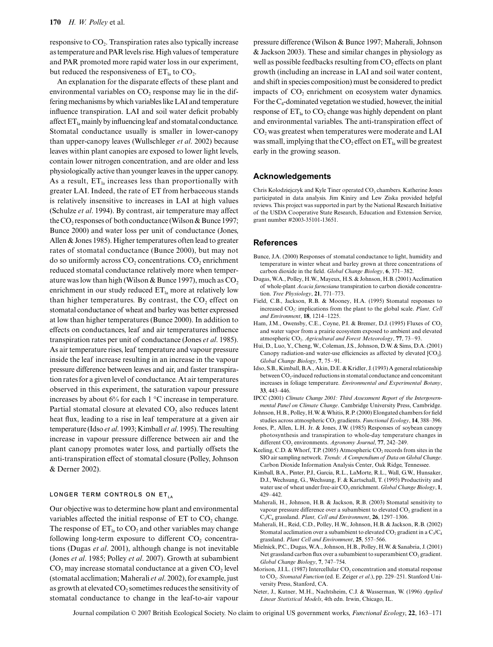responsive to  $CO<sub>2</sub>$ . Transpiration rates also typically increase as temperature and PAR levels rise. High values of temperature and PAR promoted more rapid water loss in our experiment, but reduced the responsiveness of  $ET<sub>la</sub>$  to  $CO<sub>2</sub>$ .

An explanation for the disparate effects of these plant and environmental variables on  $CO<sub>2</sub>$  response may lie in the differing mechanisms by which variables like LAI and temperature influence transpiration. LAI and soil water deficit probably affect  $ET_{la}$  mainly by influencing leaf and stomatal conductance. Stomatal conductance usually is smaller in lower-canopy than upper-canopy leaves (Wullschleger *et al*. 2002) because leaves within plant canopies are exposed to lower light levels, contain lower nitrogen concentration, and are older and less physiologically active than younger leaves in the upper canopy. As a result,  $ET_{1a}$  increases less than proportionally with greater LAI. Indeed, the rate of ET from herbaceous stands is relatively insensitive to increases in LAI at high values (Schulze *et al*. 1994). By contrast, air temperature may affect the  $CO_2$  responses of both conductance (Wilson & Bunce 1997; Bunce 2000) and water loss per unit of conductance (Jones, Allen & Jones 1985). Higher temperatures often lead to greater rates of stomatal conductance (Bunce 2000), but may not do so uniformly across  $CO$ , concentrations.  $CO$ , enrichment reduced stomatal conductance relatively more when temperature was low than high (Wilson & Bunce 1997), much as  $CO<sub>2</sub>$ enrichment in our study reduced  $ET_{1a}$  more at relatively low than higher temperatures. By contrast, the  $CO<sub>2</sub>$  effect on stomatal conductance of wheat and barley was better expressed at low than higher temperatures (Bunce 2000). In addition to effects on conductances, leaf and air temperatures influence transpiration rates per unit of conductance (Jones *et al*. 1985). As air temperature rises, leaf temperature and vapour pressure inside the leaf increase resulting in an increase in the vapour pressure difference between leaves and air, and faster transpiration rates for a given level of conductance. At air temperatures observed in this experiment, the saturation vapour pressure increases by about 6% for each 1 °C increase in temperature. Partial stomatal closure at elevated CO<sub>2</sub> also reduces latent heat flux, leading to a rise in leaf temperature at a given air temperature (Idso *et al*. 1993; Kimball *et al*. 1995). The resulting increase in vapour pressure difference between air and the plant canopy promotes water loss, and partially offsets the anti-transpiration effect of stomatal closure (Polley, Johnson & Derner 2002).

# **LONGER TERM CONTROLS ON ETLA**

Our objective was to determine how plant and environmental variables affected the initial response of  $ET$  to  $CO$ , change. The response of  $ET_{la}$  to  $CO_2$  and other variables may change following long-term exposure to different  $CO<sub>2</sub>$  concentrations (Dugas *et al*. 2001), although change is not inevitable (Jones *et al*. 1985; Polley *et al*. 2007). Growth at subambient CO<sub>2</sub> may increase stomatal conductance at a given CO<sub>2</sub> level (stomatal acclimation; Maherali *et al*. 2002), for example, just as growth at elevated  $CO_2$  sometimes reduces the sensitivity of stomatal conductance to change in the leaf-to-air vapour

pressure difference (Wilson & Bunce 1997; Maherali, Johnson & Jackson 2003). These and similar changes in physiology as well as possible feedbacks resulting from  $CO<sub>2</sub>$  effects on plant growth (including an increase in LAI and soil water content, and shift in species composition) must be considered to predict impacts of  $CO<sub>2</sub>$  enrichment on ecosystem water dynamics. For the  $C_4$ -dominated vegetation we studied, however, the initial response of  $ET_{la}$  to  $CO_2$  change was highly dependent on plant and environmental variables. The anti-transpiration effect of  $CO<sub>2</sub>$  was greatest when temperatures were moderate and LAI was small, implying that the  $CO_2$  effect on  $ET_{la}$  will be greatest early in the growing season.

# **Acknowledgements**

Chris Kolodziejczyk and Kyle Tiner operated CO<sub>2</sub> chambers. Katherine Jones participated in data analysis. Jim Kiniry and Lew Ziska provided helpful reviews. This project was supported in part by the National Research Initiative of the USDA Cooperative State Research, Education and Extension Service, grant number #2003-35101-13651.

#### **References**

- Bunce, J.A. (2000) Responses of stomatal conductance to light, humidity and temperature in winter wheat and barley grown at three concentrations of carbon dioxide in the field. *Global Change Biology*, **6**, 371–382.
- Dugas, W.A., Polley, H.W., Mayeux, H.S. & Johnson, H.B. (2001) Acclimation of whole-plant *Acacia farnesiana* transpiration to carbon dioxide concentration. *Tree Physiology*, **21**, 771–773.
- Field, C.B., Jackson, R.B. & Mooney, H.A. (1995) Stomatal responses to increased CO2: implications from the plant to the global scale. *Plant, Cell and Environment*, **18**, 1214–1225.
- Ham, J.M., Owensby, C.E., Coyne, P.I. & Bremer, D.J. (1995) Fluxes of  $CO<sub>2</sub>$ and water vapor from a prairie ecosystem exposed to ambient and elevated atmospheric CO2. *Agricultural and Forest Meteorology*, **77**, 73–93.
- Hui, D., Luo, Y., Cheng, W., Coleman, J.S., Johnson, D.W. & Sims, D.A. (2001) Canopy radiation-and water-use efficiencies as affected by elevated [CO<sub>2</sub>]. *Global Change Biology*, **7**, 75–91.
- Idso, S.B., Kimball, B.A., Akin, D.E. & Kridler, J. (1993) A general relationship between CO<sub>2</sub>-induced reductions in stomatal conductance and concomitant increases in foliage temperature. *Environmental and Experimental Botany*, **33**, 443–446.
- IPCC (2001) *Climate Change 2001: Third Assessment Report of the Intergovernmental Panel on Climate Change*. Cambridge University Press, Cambridge.
- Johnson, H.B., Polley, H.W. & Whitis, R.P. (2000) Elongated chambers for field studies across atmospheric CO<sub>2</sub> gradients. *Functional Ecology*, 14, 388-396.
- Jones, P., Allen, L.H. Jr. & Jones, J.W. (1985) Responses of soybean canopy photosynthesis and transpiration to whole-day temperature changes in different CO<sub>2</sub> environments. *Agronomy Journal*, **77**, 242–249.
- Keeling, C.D. & Whorf, T.P. (2005) Atmospheric  $CO_2$  records from sites in the SIO air sampling network. *Trends: A Compendium of Data on Global Change*. Carbon Dioxide Information Analysis Center, Oak Ridge, Tennessee.
- Kimball, B.A., Pinter, P.J., Garcia, R.L., LaMorte, R.L., Wall, G.W., Hunsaker, D.J., Wechsung, G., Wechsung, F. & Kartschall, T. (1995) Productivity and water use of wheat under free-air CO<sub>2</sub> enrichment. *Global Change Biology*, 1, 429–442.
- Maherali, H., Johnson, H.B. & Jackson, R.B. (2003) Stomatal sensitivity to vapour pressure difference over a subambient to elevated CO<sub>2</sub> gradient in a C3/C4 grassland. *Plant, Cell and Environment*, **26**, 1297–1306.
- Maherali, H., Reid, C.D., Polley, H.W., Johnson, H.B. & Jackson, R.B. (2002) Stomatal acclimation over a subambient to elevated  $CO_2$  gradient in a  $C_3/C_4$ grassland. *Plant Cell and Environment*, **25**, 557–566.
- Mielnick, P.C., Dugas, W.A., Johnson, H.B., Polley, H.W. & Sanabria, J. (2001) Net grassland carbon flux over a subambient to superambient  $CO<sub>2</sub>$  gradient. *Global Change Biology*, **7**, 747–754.
- Morison, J.I.L. (1987) Intercellular  $CO<sub>2</sub>$  concentration and stomatal response to CO2. *Stomatal Function* (ed. E. Zeiger *et al*.), pp. 229–251. Stanford University Press, Stanford, CA.
- Neter, J., Kutner, M.H., Nachtsheim, C.J. & Wasserman, W. (1996) *Applied Linear Statistical Models*, 4th edn. Irwin, Chicago, IL.